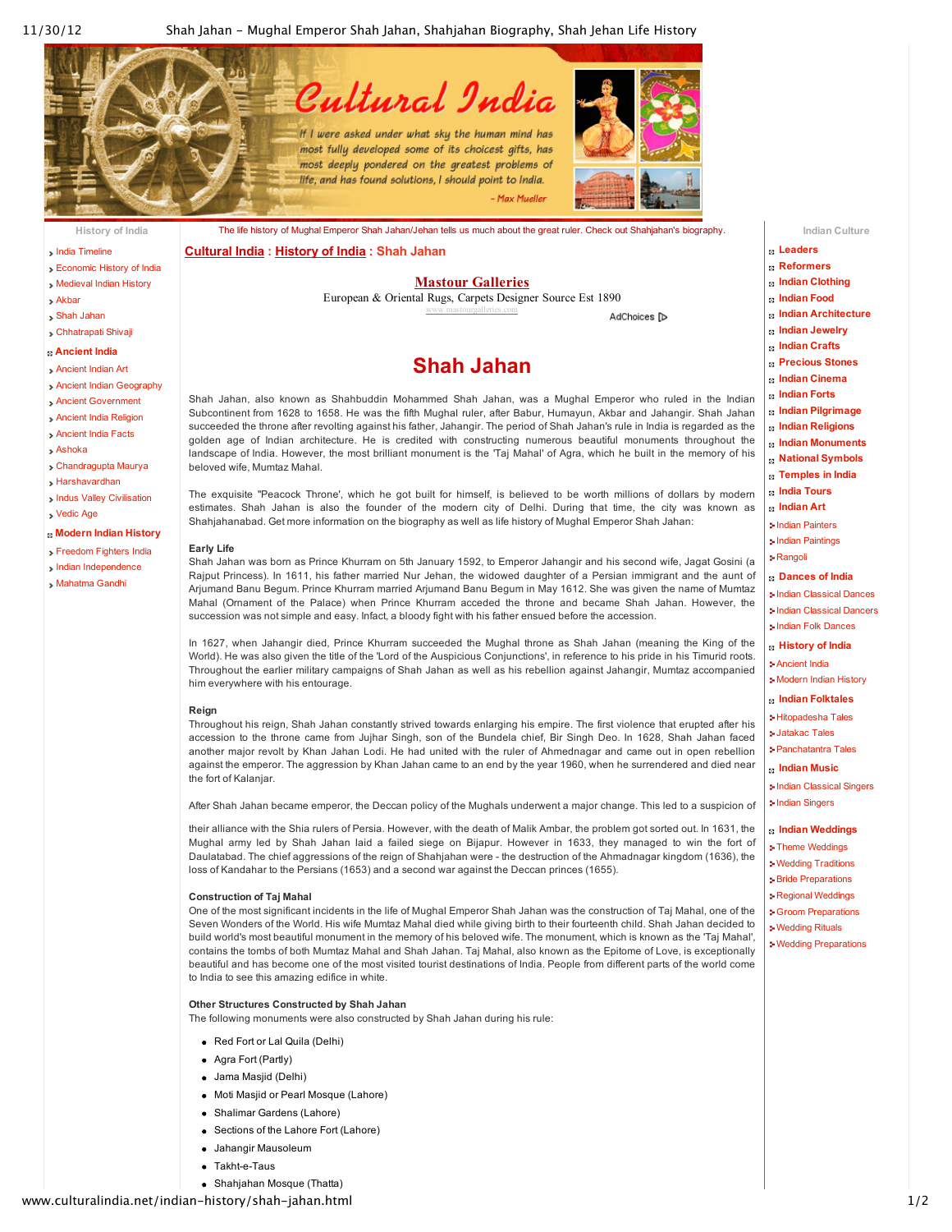

- India [Timeline](http://www.culturalindia.net/indian-history/timeline.html)
- [Economic](http://www.culturalindia.net/indian-history/economic-history.html) History of India
- [Medieval](http://www.culturalindia.net/indian-history/medieval-india.html) Indian History
- [Akbar](http://www.culturalindia.net/indian-history/akbar.html)
- Shah [Jahan](http://www.culturalindia.net/indian-history/shah-jahan.html)
- [Chhatrapati](http://www.culturalindia.net/indian-history/shivaji.html) Shivaji
- **[Ancient](http://www.culturalindia.net/indian-history/ancient-india/index.html) India**
- [Ancient](http://www.culturalindia.net/indian-history/ancient-india/ancient-art.html) Indian Art
- Ancient Indian [Geography](http://www.culturalindia.net/indian-history/ancient-india/ancient-geography.html)
- Ancient [Government](http://www.culturalindia.net/indian-history/ancient-india/ancient-government.html)
- Ancient India [Religion](http://www.culturalindia.net/indian-history/ancient-india/ancient-religion.html)
- [Ancient](http://www.culturalindia.net/indian-history/ancient-india/facts-ancientindia.html) India Facts
- [Ashoka](http://www.culturalindia.net/indian-history/ancient-india/ashoka.html)
- [Chandragupta](http://www.culturalindia.net/indian-history/ancient-india/chandragupta-maurya.html) Maurya
- [Harshavardhan](http://www.culturalindia.net/indian-history/ancient-india/harshavardhan.html)
- Indus Valley [Civilisation](http://www.culturalindia.net/indian-history/ancient-india/indus-valley.html)
- [Vedic](http://www.culturalindia.net/indian-history/ancient-india/vedic-civilization.html) Age
- **[Modern](http://www.culturalindia.net/indian-history/modern-history/index.html) Indian History**
- [Freedom](http://www.culturalindia.net/indian-history/modern-history/freedom-fighters.html) Fighters India
- Indian [Independence](http://www.culturalindia.net/indian-history/modern-history/indian-independence.html)
- [Mahatma](http://www.culturalindia.net/indian-history/modern-history/mahatma-gandhi.html) Gandhi

The life history of Mughal Emperor Shah Jahan/Jehan tells us much about the great ruler. Check out Shahjahan's biography. **[Cultural](http://www.culturalindia.net/index.html) India : [History](http://www.culturalindia.net/indian-history/index.html) of India : Shah Jahan**

#### **Mastour [Galleries](http://googleads.g.doubleclick.net/aclk?sa=L&ai=CSnsndzG5UNKLOMLT0AGR8IDIBoy4lrsChJj0_DzAjbcBEAEg88KPAlCSrfzQ-v____8BYMmG7YiEpOwPyAEBqAMByAPfBKoEiAFP0KGS8P-PoUoe9Wqk20lXQwy506eRAk4UbVOJpvyEwCLiz-4AQFfiK7kRIu7fwJKd9M8AMFI7Cqawk7ZhbjXVt0OPfVa_dPdNK8L08MOdwahG5pnHRaJHJjX9YfzkRQuYgB8i4e2T4K6NIY4dsDt0FhRr57eqTQYJElSZIUI9f_qJ6NnLzDq_&num=1&sig=AOD64_2C2OemiyEi0xedLvQi6nmCC39hHA&client=ca-pub-0023073267844535&adurl=http://www.mastourgalleries.com/g_oushak.html&nm=1)**

European & Oriental Rugs, Carpets Designer Source Est 1890 www.mastourgalleries.com

AdChoices [D

## **Shah Jahan**

Subcontinent from 1628 to 1658. He was the fifth Mughal ruler, after Babur, Humayun, Akbar and Jahangir. Shah Jahan succeeded the throne after revolting against his father, Jahangir. The period of Shah Jahan's rule in India is regarded as the golden age of Indian architecture. He is credited with constructing numerous beautiful monuments throughout the landscape of India. However, the most brilliant monument is the 'Taj Mahal' of Agra, which he built in the memory of his

The exquisite "Peacock Throne', which he got built for himself, is believed to be worth millions of dollars by modern estimates. Shah Jahan is also the founder of the modern city of Delhi. During that time, the city was known as

Shah Jahan was born as Prince Khurram on 5th January 1592, to Emperor Jahangir and his second wife, Jagat Gosini (a Rajput Princess). In 1611, his father married Nur Jehan, the widowed daughter of a Persian immigrant and the aunt of Arjumand Banu Begum. Prince Khurram married Arjumand Banu Begum in May 1612. She was given the name of Mumtaz Mahal (Ornament of the Palace) when Prince Khurram acceded the throne and became Shah Jahan. However, the

In 1627, when Jahangir died, Prince Khurram succeeded the Mughal throne as Shah Jahan (meaning the King of the World). He was also given the title of the 'Lord of the Auspicious Conjunctions', in reference to his pride in his Timurid roots. Throughout the earlier military campaigns of Shah Jahan as well as his rebellion against Jahangir, Mumtaz accompanied

Throughout his reign, Shah Jahan constantly strived towards enlarging his empire. The first violence that erupted after his accession to the throne came from Jujhar Singh, son of the Bundela chief, Bir Singh Deo. In 1628, Shah Jahan faced another major revolt by Khan Jahan Lodi. He had united with the ruler of Ahmednagar and came out in open rebellion against the emperor. The aggression by Khan Jahan came to an end by the year 1960, when he surrendered and died near

After Shah Jahan became emperor, the Deccan policy of the Mughals underwent a major change. This led to a suspicion of their alliance with the Shia rulers of Persia. However, with the death of Malik Ambar, the problem got sorted out. In 1631, the Mughal army led by Shah Jahan laid a failed siege on Bijapur. However in 1633, they managed to win the fort of Daulatabad. The chief aggressions of the reign of Shahjahan were - the destruction of the Ahmadnagar kingdom (1636), the

One of the most significant incidents in the life of Mughal Emperor Shah Jahan was the construction of Taj Mahal, one of the Seven Wonders of the World. His wife Mumtaz Mahal died while giving birth to their fourteenth child. Shah Jahan decided to build world's most beautiful monument in the memory of his beloved wife. The monument, which is known as the 'Taj Mahal', contains the tombs of both Mumtaz Mahal and Shah Jahan. Taj Mahal, also known as the Epitome of Love, is exceptionally beautiful and has become one of the most visited tourist destinations of India. People from different parts of the world come

Shahjahanabad. Get more information on the biography as well as life history of Mughal Emperor Shah Jahan:

succession was not simple and easy. Infact, a bloody fight with his father ensued before the accession.



- **[Leaders](http://www.culturalindia.net/leaders/index.html)**
- **[Reformers](http://www.culturalindia.net/reformers/index.html)**
- **Indian [Clothing](http://www.culturalindia.net/indian-clothing/index.html)**
- **[Indian](http://www.culturalindia.net/indian-food/index.html) Food**
- **Indian [Architecture](http://www.culturalindia.net/indian-architecture/index.html)**
- **Indian [Jewelry](http://www.culturalindia.net/jewellery/index.html)**
- **Indian [Crafts](http://www.culturalindia.net/indian-crafts/index.html)**
- **[Precious](http://www.culturalindia.net/indian-crafts/precious-stones/index.html) Stones Indian [Cinema](http://www.culturalindia.net/indian-cinema/index.html)**
- **[Indian](http://www.culturalindia.net/indian-forts/index.html) Forts**
- **Indian [Pilgrimage](http://www.culturalindia.net/indian-pilgrimage/index.html)**
- **Indian [Religions](http://www.culturalindia.net/indian-religions/index.html)**
- **Indian [Monuments](http://www.culturalindia.net/monuments/index.html)**
- **National [Symbols](http://www.culturalindia.net/national-symbols/index.html)**
- **[Temples](http://www.culturalindia.net/indian-temples/index.html) in India**
- **India [Tours](http://www.culturalindia.net/tours/index.html)**
- **[Indian](http://www.culturalindia.net/indian-art/index.html) Art**
- Indian [Painters](http://www.culturalindia.net/indian-art/painters/index.html)
- Indian [Paintings](http://www.culturalindia.net/indian-art/paintings/index.html)
- [Rangoli](http://www.culturalindia.net/indian-art/rangoli/index.html)

#### **[Dances](http://www.culturalindia.net/indian-dance/index.html) of India**

- Indian [Classical](http://www.culturalindia.net/indian-dance/classical/index.html) Dances
- Indian [Classical](http://www.culturalindia.net/indian-dance/dancers/index.html) Dancers
- Indian Folk [Dances](http://www.culturalindia.net/indian-dance/folk-dances/index.html)
- **[History](http://www.culturalindia.net/indian-history/index.html) of India**
- [Ancient](http://www.culturalindia.net/indian-history/ancient-india/index.html) India [Modern](http://www.culturalindia.net/indian-history/modern-history/index.html) Indian History
- **Indian [Folktales](http://www.culturalindia.net/indian-folktales/index.html)**
- [Hitopadesha](http://www.culturalindia.net/indian-folktales/hitopadesha-tales/index.html) Tales
- [Jatakac](http://www.culturalindia.net/indian-folktales/jataka-tales/index.html) Tales
- [Panchatantra](http://www.culturalindia.net/indian-folktales/panchatantra-tales/index.html) Tales
- **[Indian](http://www.culturalindia.net/indian-music/index.html) Music**
- Indian [Classical](http://www.culturalindia.net/indian-music/classical-singers/index.html) Singers
- Indian [Singers](http://www.culturalindia.net/indian-music/indian-singers/index.html)

### **Indian [Weddings](http://www.culturalindia.net/weddings/index.html)**

- Theme [Weddings](http://www.culturalindia.net/weddings/theme-weddings/index.html)
- Wedding [Traditions](http://www.culturalindia.net/weddings/wedding-traditions/index.html)
- Bride [Preparations](http://www.culturalindia.net/weddings/bride-preparations/index.html)
- Regional [Weddings](http://www.culturalindia.net/weddings/regional-weddings/index.html)
- Groom [Preparations](http://www.culturalindia.net/weddings/groom-preparations/index.html)
- [Wedding](http://www.culturalindia.net/weddings/wedding-rituals/index.html) Rituals
- Wedding [Preparations](http://www.culturalindia.net/weddings/wedding-preparations/index.html)

**Other Structures Constructed by Shah Jahan**

The following monuments were also constructed by Shah Jahan during his rule:

loss of Kandahar to the Persians (1653) and a second war against the Deccan princes (1655).

- Red Fort or Lal Quila (Delhi)
- Agra Fort (Partly)

**Construction of Taj Mahal**

Jama Masjid (Delhi)

beloved wife, Mumtaz Mahal.

him everywhere with his entourage.

**Early Life**

**Reign**

the fort of Kalanjar.

Moti Masjid or Pearl Mosque (Lahore)

to India to see this amazing edifice in white.

- Shalimar Gardens (Lahore)
- Sections of the Lahore Fort (Lahore)
- Jahangir Mausoleum
- $\bullet$  Takht-e-Taus
- Shahjahan Mosque (Thatta)

# Shah Jahan, also known as Shahbuddin Mohammed Shah Jahan, was a Mughal Emperor who ruled in the Indian